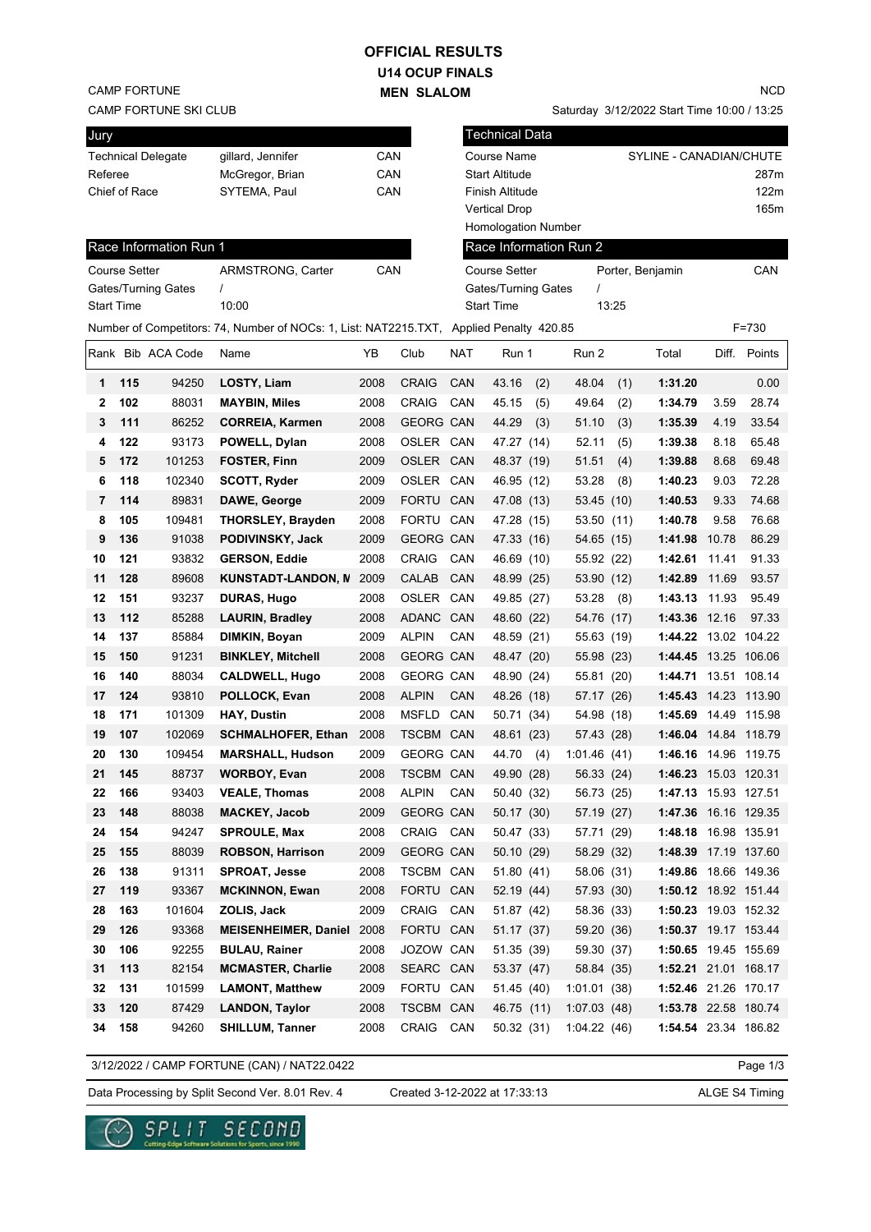# **OFFICIAL RESULTS**

**U14 OCUP FINALS MEN SLALOM** 

CAMP FORTUNE

CAMP FORTUNE SKI CLUB

| Jury              |                      |                        |                                                                                         |      |                  |            | <b>Technical Data</b>      |     |                        |       |                              |       |              |
|-------------------|----------------------|------------------------|-----------------------------------------------------------------------------------------|------|------------------|------------|----------------------------|-----|------------------------|-------|------------------------------|-------|--------------|
|                   |                      | Technical Delegate     | gillard, Jennifer                                                                       | CAN  |                  |            | <b>Course Name</b>         |     |                        |       | SYLINE - CANADIAN/CHUTE      |       |              |
| Referee           |                      |                        | McGregor, Brian                                                                         | CAN  |                  |            | <b>Start Altitude</b>      |     |                        |       |                              |       | 287m         |
|                   | Chief of Race        |                        | SYTEMA, Paul                                                                            | CAN  |                  |            | Finish Altitude            |     |                        |       |                              |       | 122m         |
|                   |                      |                        |                                                                                         |      |                  |            | <b>Vertical Drop</b>       |     |                        |       |                              |       | 165m         |
|                   |                      |                        |                                                                                         |      |                  |            | <b>Homologation Number</b> |     |                        |       |                              |       |              |
|                   |                      | Race Information Run 1 |                                                                                         |      |                  |            |                            |     | Race Information Run 2 |       |                              |       |              |
|                   | <b>Course Setter</b> |                        | ARMSTRONG, Carter                                                                       | CAN  |                  |            | <b>Course Setter</b>       |     |                        |       | Porter, Benjamin             |       | CAN          |
|                   |                      | Gates/Turning Gates    | 1                                                                                       |      |                  |            | Gates/Turning Gates        |     | 1                      |       |                              |       |              |
| <b>Start Time</b> |                      |                        | 10:00                                                                                   |      |                  |            | <b>Start Time</b>          |     |                        | 13:25 |                              |       |              |
|                   |                      |                        | Number of Competitors: 74, Number of NOCs: 1, List: NAT2215.TXT, Applied Penalty 420.85 |      |                  |            |                            |     |                        |       |                              |       | F=730        |
|                   |                      | Rank Bib ACA Code      | Name                                                                                    | YB   | Club             | <b>NAT</b> | Run 1                      |     | Run 2                  |       | Total                        |       | Diff. Points |
| 1                 | 115                  | 94250                  | LOSTY, Liam                                                                             | 2008 | <b>CRAIG</b>     | CAN        | 43.16                      | (2) | 48.04                  | (1)   | 1:31.20                      |       | 0.00         |
| 2                 | 102                  | 88031                  | <b>MAYBIN, Miles</b>                                                                    | 2008 | <b>CRAIG</b>     | CAN        | 45.15                      | (5) | 49.64                  | (2)   | 1:34.79                      | 3.59  | 28.74        |
| 3                 | 111                  | 86252                  | <b>CORREIA, Karmen</b>                                                                  | 2008 | <b>GEORG CAN</b> |            | 44.29                      | (3) | 51.10                  | (3)   | 1:35.39                      | 4.19  | 33.54        |
| 4                 | 122                  | 93173                  | POWELL, Dylan                                                                           | 2008 | OSLER CAN        |            | 47.27 (14)                 |     | 52.11                  | (5)   | 1:39.38                      | 8.18  | 65.48        |
| 5                 | 172                  | 101253                 | <b>FOSTER, Finn</b>                                                                     | 2009 | OSLER CAN        |            | 48.37 (19)                 |     | 51.51                  | (4)   | 1:39.88                      | 8.68  | 69.48        |
| 6                 | 118                  | 102340                 | <b>SCOTT, Ryder</b>                                                                     | 2009 | OSLER CAN        |            | 46.95 (12)                 |     | 53.28                  | (8)   | 1:40.23                      | 9.03  | 72.28        |
| 7                 | 114                  | 89831                  | DAWE, George                                                                            | 2009 | FORTU CAN        |            | 47.08 (13)                 |     | 53.45 (10)             |       | 1:40.53                      | 9.33  | 74.68        |
| 8                 | 105                  | 109481                 | <b>THORSLEY, Brayden</b>                                                                | 2008 | FORTU CAN        |            | 47.28 (15)                 |     | 53.50 (11)             |       | 1:40.78                      | 9.58  | 76.68        |
| 9                 | 136                  | 91038                  | PODIVINSKY, Jack                                                                        | 2009 | <b>GEORG CAN</b> |            | 47.33 (16)                 |     | 54.65 (15)             |       | 1:41.98                      | 10.78 | 86.29        |
| 10                | 121                  | 93832                  | <b>GERSON, Eddie</b>                                                                    | 2008 | <b>CRAIG</b>     | CAN        | 46.69 (10)                 |     | 55.92 (22)             |       | 1:42.61                      | 11.41 | 91.33        |
| 11                | 128                  | 89608                  | <b>KUNSTADT-LANDON, N</b>                                                               | 2009 | <b>CALAB</b>     | CAN        | 48.99 (25)                 |     | 53.90 (12)             |       | 1:42.89                      | 11.69 | 93.57        |
| 12                | 151                  | 93237                  | <b>DURAS, Hugo</b>                                                                      | 2008 | OSLER            | CAN        | 49.85 (27)                 |     | 53.28                  | (8)   | 1:43.13                      | 11.93 | 95.49        |
| 13                | 112                  | 85288                  | <b>LAURIN, Bradley</b>                                                                  | 2008 | ADANC CAN        |            | 48.60 (22)                 |     | 54.76 (17)             |       | 1:43.36 12.16                |       | 97.33        |
| 14                | 137                  | 85884                  | DIMKIN, Boyan                                                                           | 2009 | <b>ALPIN</b>     | CAN        | 48.59 (21)                 |     | 55.63 (19)             |       | 1:44.22                      |       | 13.02 104.22 |
| 15                | 150                  | 91231                  | <b>BINKLEY, Mitchell</b>                                                                | 2008 | <b>GEORG CAN</b> |            | 48.47 (20)                 |     | 55.98 (23)             |       | 1:44.45 13.25 106.06         |       |              |
| 16                | 140                  | 88034                  | <b>CALDWELL, Hugo</b>                                                                   | 2008 | <b>GEORG CAN</b> |            | 48.90 (24)                 |     | 55.81 (20)             |       | 1:44.71                      |       | 13.51 108.14 |
| 17                | 124                  | 93810                  | POLLOCK, Evan                                                                           | 2008 | <b>ALPIN</b>     | CAN        | 48.26 (18)                 |     | 57.17 (26)             |       | 1:45.43 14.23 113.90         |       |              |
| 18                | 171                  | 101309                 | <b>HAY, Dustin</b>                                                                      | 2008 | MSFLD            | CAN        | 50.71 (34)                 |     | 54.98 (18)             |       | 1:45.69 14.49 115.98         |       |              |
| 19                | 107                  | 102069                 | <b>SCHMALHOFER, Ethan</b>                                                               | 2008 | TSCBM CAN        |            | 48.61 (23)                 |     | 57.43 (28)             |       | 1:46.04 14.84 118.79         |       |              |
| 20                | 130                  | 109454                 | <b>MARSHALL, Hudson</b>                                                                 | 2009 | <b>GEORG CAN</b> |            | 44.70                      | (4) | 1:01.46(41)            |       | 1:46.16 14.96 119.75         |       |              |
| 21                | 145                  | 88737                  | <b>WORBOY, Evan</b>                                                                     | 2008 | TSCBM CAN        |            | 49.90 (28)                 |     | 56.33 (24)             |       | <b>1:46.23</b> 15.03  120.31 |       |              |
| 22                | 166                  | 93403                  | <b>VEALE, Thomas</b>                                                                    | 2008 | <b>ALPIN</b>     | CAN        | 50.40 (32)                 |     | 56.73 (25)             |       | 1:47.13 15.93 127.51         |       |              |
| 23                | 148                  | 88038                  | <b>MACKEY, Jacob</b>                                                                    | 2009 | GEORG CAN        |            | 50.17 (30)                 |     | 57.19 (27)             |       | 1:47.36 16.16 129.35         |       |              |
| 24                | 154                  | 94247                  | <b>SPROULE, Max</b>                                                                     | 2008 | CRAIG CAN        |            | 50.47 (33)                 |     | 57.71 (29)             |       | 1:48.18 16.98 135.91         |       |              |
| 25                | 155                  | 88039                  | <b>ROBSON, Harrison</b>                                                                 | 2009 | GEORG CAN        |            | 50.10 (29)                 |     | 58.29 (32)             |       | 1:48.39 17.19 137.60         |       |              |
| 26                | 138                  | 91311                  | <b>SPROAT, Jesse</b>                                                                    | 2008 | TSCBM CAN        |            | 51.80 (41)                 |     | 58.06 (31)             |       | 1:49.86 18.66 149.36         |       |              |
| 27                | 119                  | 93367                  | <b>MCKINNON, Ewan</b>                                                                   | 2008 | FORTU CAN        |            | 52.19 (44)                 |     | 57.93 (30)             |       | 1:50.12 18.92 151.44         |       |              |
| 28                | 163                  | 101604                 | ZOLIS, Jack                                                                             | 2009 | CRAIG            | CAN        | 51.87 (42)                 |     | 58.36 (33)             |       | 1:50.23 19.03 152.32         |       |              |
| 29                | 126                  | 93368                  | <b>MEISENHEIMER, Daniel</b>                                                             | 2008 | FORTU CAN        |            | 51.17 (37)                 |     | 59.20 (36)             |       | 1:50.37 19.17 153.44         |       |              |
| 30                | 106                  | 92255                  | <b>BULAU, Rainer</b>                                                                    | 2008 | JOZOW CAN        |            | 51.35 (39)                 |     | 59.30 (37)             |       | 1:50.65 19.45 155.69         |       |              |
| 31                | 113                  | 82154                  | <b>MCMASTER, Charlie</b>                                                                | 2008 | SEARC CAN        |            | 53.37 (47)                 |     | 58.84 (35)             |       | 1:52.21 21.01 168.17         |       |              |
| 32                | 131                  | 101599                 | <b>LAMONT, Matthew</b>                                                                  | 2009 | FORTU CAN        |            | 51.45 (40)                 |     | 1:01.01(38)            |       | 1:52.46 21.26 170.17         |       |              |
| 33                | 120                  | 87429                  | <b>LANDON, Taylor</b>                                                                   | 2008 | TSCBM CAN        |            | 46.75 (11)                 |     | 1:07.03(48)            |       | 1:53.78 22.58 180.74         |       |              |
| 34                | 158                  | 94260                  | <b>SHILLUM, Tanner</b>                                                                  | 2008 | CRAIG            | CAN        | 50.32 (31)                 |     | 1:04.22(46)            |       | 1:54.54 23.34 186.82         |       |              |

3/12/2022 / CAMP FORTUNE (CAN) / NAT22.0422

Page 1/3

Data Processing by Split Second Ver. 8.01 Rev. 4 Created 3-12-2022 at 17:33:13 ALGE S4 Timing

Created 3-12-2022 at 17:33:13



NCD

Saturday 3/12/2022 Start Time 10:00 / 13:25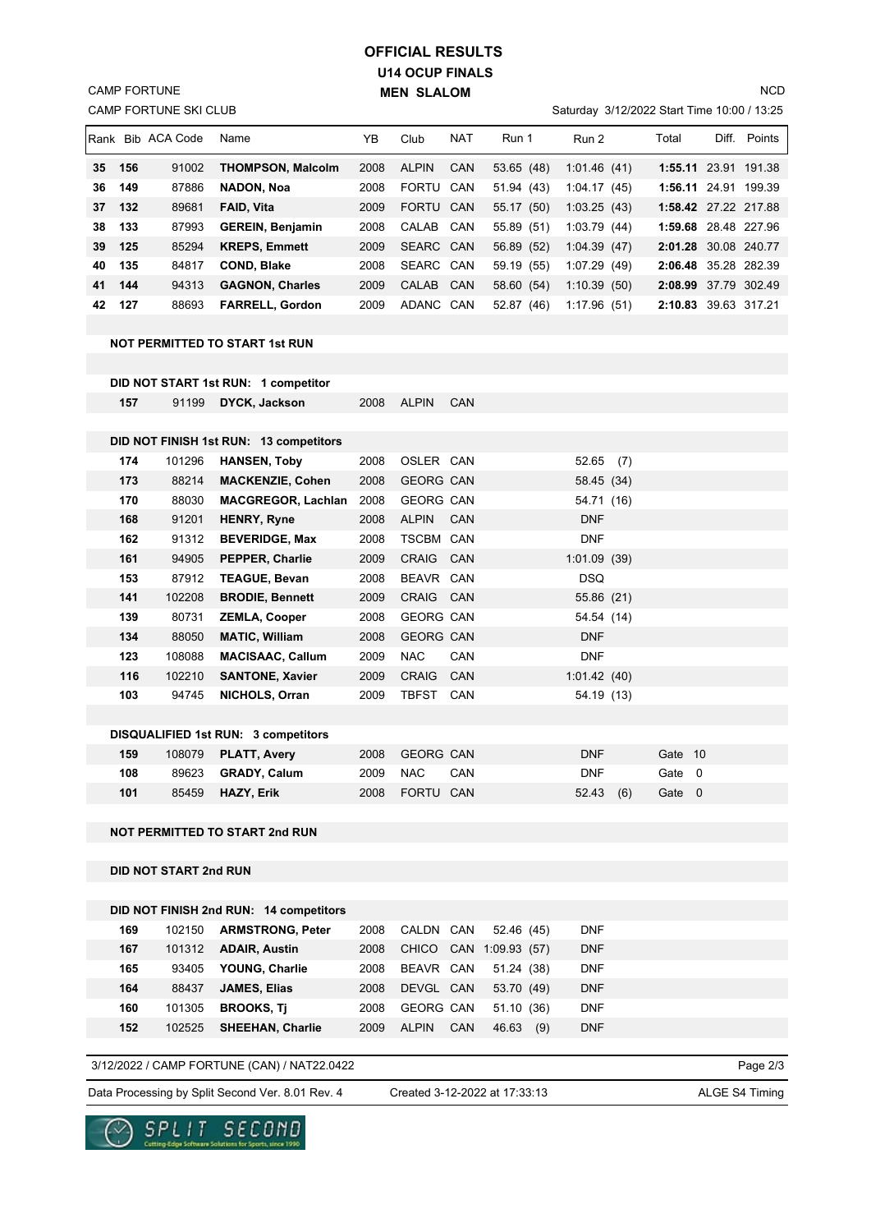# **U14 OCUP FINALS MEN SLALOM OFFICIAL RESULTS**

CAMP FORTUNE SKI CLUB CAMP FORTUNE

### Saturday 3/12/2022 Start Time 10:00 / 13:25

|    |     | <b>IRank Bib ACA Code</b> | Name                     | ΥB   | Club         | <b>NAT</b> | Run 1      | Run 2       | Total                | Diff. | Points       |
|----|-----|---------------------------|--------------------------|------|--------------|------------|------------|-------------|----------------------|-------|--------------|
| 35 | 156 | 91002                     | <b>THOMPSON, Malcolm</b> | 2008 | <b>ALPIN</b> | CAN        | 53.65 (48) | 1:01.46(41) | 1:55.11              |       | 23.91 191.38 |
| 36 | 149 | 87886                     | NADON, Noa               | 2008 | <b>FORTU</b> | CAN        | 51.94 (43) | 1:04.17(45) | 1:56.11              |       | 24.91 199.39 |
| 37 | 132 | 89681                     | <b>FAID, Vita</b>        | 2009 | <b>FORTU</b> | <b>CAN</b> | 55.17 (50) | 1:03.25(43) | 1:58.42 27.22 217.88 |       |              |
| 38 | 133 | 87993                     | <b>GEREIN, Benjamin</b>  | 2008 | CALAB CAN    |            | 55.89 (51) | 1:03.79(44) | 1:59.68 28.48 227.96 |       |              |
| 39 | 125 | 85294                     | <b>KREPS, Emmett</b>     | 2009 | SEARC CAN    |            | 56.89 (52) | 1:04.39(47) | 2:01.28 30.08 240.77 |       |              |
| 40 | 135 | 84817                     | <b>COND, Blake</b>       | 2008 | SEARC CAN    |            | 59.19 (55) | 1:07.29(49) | 2:06.48 35.28 282.39 |       |              |
| 41 | 144 | 94313                     | <b>GAGNON, Charles</b>   | 2009 | <b>CALAB</b> | CAN        | 58.60 (54) | 1:10.39(50) | 2:08.99 37.79 302.49 |       |              |
| 42 | 127 | 88693                     | <b>FARRELL, Gordon</b>   | 2009 | ADANC CAN    |            | 52.87 (46) | 1:17.96(51) | 2:10.83 39.63 317.21 |       |              |

#### **NOT PERMITTED TO START 1st RUN**

|     |        | DID NOT START 1st RUN: 1 competitor        |      |                  |            |             |     |         |  |
|-----|--------|--------------------------------------------|------|------------------|------------|-------------|-----|---------|--|
| 157 | 91199  | <b>DYCK, Jackson</b>                       | 2008 | <b>ALPIN</b>     | <b>CAN</b> |             |     |         |  |
|     |        |                                            |      |                  |            |             |     |         |  |
|     |        | DID NOT FINISH 1st RUN: 13 competitors     |      |                  |            |             |     |         |  |
| 174 | 101296 | <b>HANSEN, Toby</b>                        | 2008 | OSLER CAN        |            | 52.65       | (7) |         |  |
| 173 | 88214  | <b>MACKENZIE, Cohen</b>                    | 2008 | <b>GEORG CAN</b> |            | 58.45 (34)  |     |         |  |
| 170 | 88030  | <b>MACGREGOR, Lachlan</b>                  | 2008 | <b>GEORG CAN</b> |            | 54.71 (16)  |     |         |  |
| 168 | 91201  | <b>HENRY, Ryne</b>                         | 2008 | <b>ALPIN</b>     | <b>CAN</b> | <b>DNF</b>  |     |         |  |
| 162 | 91312  | <b>BEVERIDGE, Max</b>                      | 2008 | TSCBM CAN        |            | <b>DNF</b>  |     |         |  |
| 161 | 94905  | PEPPER, Charlie                            | 2009 | CRAIG CAN        |            | 1:01.09(39) |     |         |  |
| 153 | 87912  | <b>TEAGUE, Bevan</b>                       | 2008 | BEAVR CAN        |            | <b>DSQ</b>  |     |         |  |
| 141 | 102208 | <b>BRODIE, Bennett</b>                     | 2009 | CRAIG CAN        |            | 55.86 (21)  |     |         |  |
| 139 | 80731  | <b>ZEMLA, Cooper</b>                       | 2008 | <b>GEORG CAN</b> |            | 54.54 (14)  |     |         |  |
| 134 | 88050  | <b>MATIC, William</b>                      | 2008 | <b>GEORG CAN</b> |            | <b>DNF</b>  |     |         |  |
| 123 | 108088 | <b>MACISAAC, Callum</b>                    | 2009 | <b>NAC</b>       | <b>CAN</b> | <b>DNF</b>  |     |         |  |
| 116 | 102210 | <b>SANTONE, Xavier</b>                     | 2009 | CRAIG CAN        |            | 1:01.42(40) |     |         |  |
| 103 | 94745  | NICHOLS, Orran                             | 2009 | TBFST CAN        |            | 54.19 (13)  |     |         |  |
|     |        |                                            |      |                  |            |             |     |         |  |
|     |        | <b>DISQUALIFIED 1st RUN: 3 competitors</b> |      |                  |            |             |     |         |  |
| 159 | 108079 | <b>PLATT, Avery</b>                        | 2008 | <b>GEORG CAN</b> |            | <b>DNF</b>  |     | Gate 10 |  |
| 108 | 89623  | <b>GRADY, Calum</b>                        | 2009 | <b>NAC</b>       | CAN        | <b>DNF</b>  |     | Gate 0  |  |

## **NOT PERMITTED TO START 2nd RUN**

**DID NOT START 2nd RUN**

|     |        | DID NOT FINISH 2nd RUN: 14 competitors |      |                            |                        |            |  |
|-----|--------|----------------------------------------|------|----------------------------|------------------------|------------|--|
| 169 | 102150 | <b>ARMSTRONG, Peter</b>                | 2008 | CALDN CAN                  | 52.46 (45)             | <b>DNF</b> |  |
| 167 | 101312 | <b>ADAIR, Austin</b>                   | 2008 |                            | CHICO CAN 1:09.93 (57) | <b>DNF</b> |  |
| 165 | 93405  | YOUNG, Charlie                         | 2008 | BEAVR CAN                  | 51.24 (38)             | <b>DNF</b> |  |
| 164 | 88437  | <b>JAMES, Elias</b>                    | 2008 | DEVGL CAN                  | 53.70 (49)             | <b>DNF</b> |  |
| 160 | 101305 | <b>BROOKS, Ti</b>                      | 2008 | <b>GEORG CAN</b>           | 51.10(36)              | <b>DNF</b> |  |
| 152 | 102525 | <b>SHEEHAN, Charlie</b>                | 2009 | <b>CAN</b><br><b>ALPIN</b> | 46.63<br>(9)           | <b>DNF</b> |  |

 **101** 85459 **HAZY, Erik** 2008 FORTU CAN 52.43 (6) Gate 0

## 3/12/2022 / CAMP FORTUNE (CAN) / NAT22.0422

Data Processing by Split Second Ver. 8.01 Rev. 4 Created 3-12-2022 at 17:33:13 ALGE S4 Timing

Created 3-12-2022 at 17:33:13

Page 2/3



**NCD**